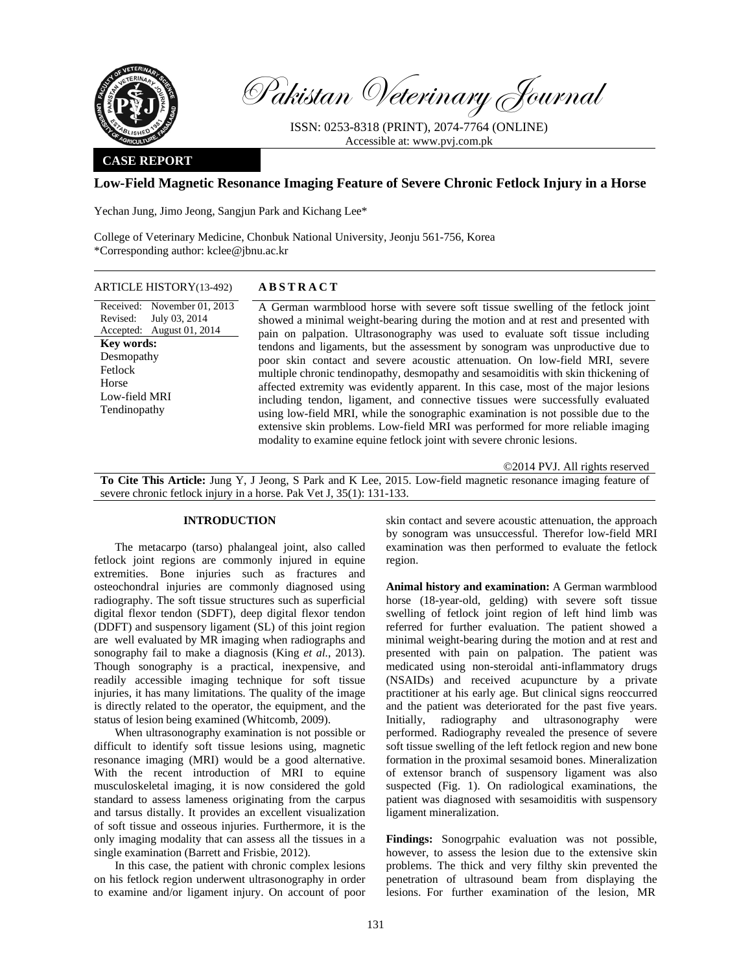

Pakistan Veterinary Journal

ISSN: 0253-8318 (PRINT), 2074-7764 (ONLINE) Accessible at: www.pvj.com.pk

# **CASE REPORT**

## **Low-Field Magnetic Resonance Imaging Feature of Severe Chronic Fetlock Injury in a Horse**

Yechan Jung, Jimo Jeong, Sangjun Park and Kichang Lee\*

College of Veterinary Medicine, Chonbuk National University, Jeonju 561-756, Korea \*Corresponding author: kclee@jbnu.ac.kr

#### ARTICLE HISTORY(13-492) **ABSTRACT**

Received: November 01, 2013 Revised: Accepted: August 01, 2014 July 03, 2014 **Key words:**  Desmopathy Fetlock Horse Low-field MRI Tendinopathy

 A German warmblood horse with severe soft tissue swelling of the fetlock joint showed a minimal weight-bearing during the motion and at rest and presented with pain on palpation. Ultrasonography was used to evaluate soft tissue including tendons and ligaments, but the assessment by sonogram was unproductive due to poor skin contact and severe acoustic attenuation. On low-field MRI, severe multiple chronic tendinopathy, desmopathy and sesamoiditis with skin thickening of affected extremity was evidently apparent. In this case, most of the major lesions including tendon, ligament, and connective tissues were successfully evaluated using low-field MRI, while the sonographic examination is not possible due to the extensive skin problems. Low-field MRI was performed for more reliable imaging modality to examine equine fetlock joint with severe chronic lesions.

©2014 PVJ. All rights reserved

**To Cite This Article:** Jung Y, J Jeong, S Park and K Lee, 2015. Low-field magnetic resonance imaging feature of severe chronic fetlock injury in a horse. Pak Vet J, 35(1): 131-133.

# **INTRODUCTION**

The metacarpo (tarso) phalangeal joint, also called fetlock joint regions are commonly injured in equine extremities. Bone injuries such as fractures and osteochondral injuries are commonly diagnosed using radiography. The soft tissue structures such as superficial digital flexor tendon (SDFT), deep digital flexor tendon (DDFT) and suspensory ligament (SL) of this joint region are well evaluated by MR imaging when radiographs and sonography fail to make a diagnosis (King *et al.*, 2013). Though sonography is a practical, inexpensive, and readily accessible imaging technique for soft tissue injuries, it has many limitations. The quality of the image is directly related to the operator, the equipment, and the status of lesion being examined (Whitcomb, 2009).

When ultrasonography examination is not possible or difficult to identify soft tissue lesions using, magnetic resonance imaging (MRI) would be a good alternative. With the recent introduction of MRI to equine musculoskeletal imaging, it is now considered the gold standard to assess lameness originating from the carpus and tarsus distally. It provides an excellent visualization of soft tissue and osseous injuries. Furthermore, it is the only imaging modality that can assess all the tissues in a single examination (Barrett and Frisbie, 2012).

In this case, the patient with chronic complex lesions on his fetlock region underwent ultrasonography in order to examine and/or ligament injury. On account of poor skin contact and severe acoustic attenuation, the approach by sonogram was unsuccessful. Therefor low-field MRI examination was then performed to evaluate the fetlock region.

**Animal history and examination:** A German warmblood horse (18-year-old, gelding) with severe soft tissue swelling of fetlock joint region of left hind limb was referred for further evaluation. The patient showed a minimal weight-bearing during the motion and at rest and presented with pain on palpation. The patient was medicated using non-steroidal anti-inflammatory drugs (NSAIDs) and received acupuncture by a private practitioner at his early age. But clinical signs reoccurred and the patient was deteriorated for the past five years. Initially, radiography and ultrasonography were performed. Radiography revealed the presence of severe soft tissue swelling of the left fetlock region and new bone formation in the proximal sesamoid bones. Mineralization of extensor branch of suspensory ligament was also suspected (Fig. 1). On radiological examinations, the patient was diagnosed with sesamoiditis with suspensory ligament mineralization.

**Findings:** Sonogrpahic evaluation was not possible, however, to assess the lesion due to the extensive skin problems. The thick and very filthy skin prevented the penetration of ultrasound beam from displaying the lesions. For further examination of the lesion, MR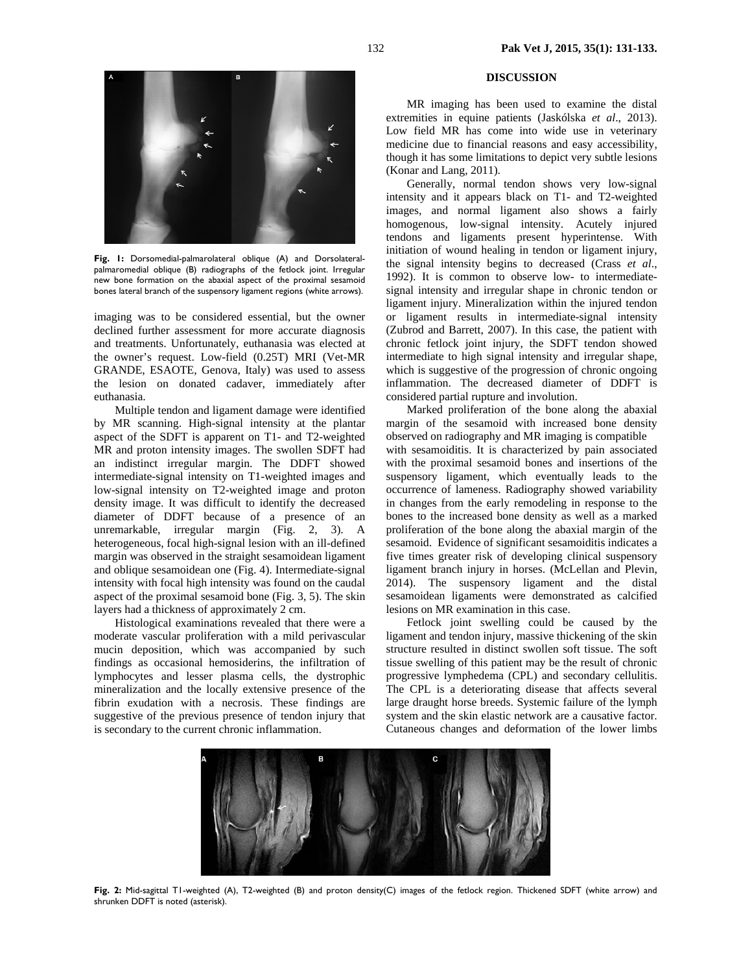

**Fig. 1:** Dorsomedial-palmarolateral oblique (A) and Dorsolateralpalmaromedial oblique (B) radiographs of the fetlock joint. Irregular new bone formation on the abaxial aspect of the proximal sesamoid bones lateral branch of the suspensory ligament regions (white arrows).

imaging was to be considered essential, but the owner declined further assessment for more accurate diagnosis and treatments. Unfortunately, euthanasia was elected at the owner's request. Low-field (0.25T) MRI (Vet-MR GRANDE, ESAOTE, Genova, Italy) was used to assess the lesion on donated cadaver, immediately after euthanasia.

Multiple tendon and ligament damage were identified by MR scanning. High-signal intensity at the plantar aspect of the SDFT is apparent on T1- and T2-weighted MR and proton intensity images. The swollen SDFT had an indistinct irregular margin. The DDFT showed intermediate-signal intensity on T1-weighted images and low-signal intensity on T2-weighted image and proton density image. It was difficult to identify the decreased diameter of DDFT because of a presence of an unremarkable, irregular margin (Fig. 2, 3). A heterogeneous, focal high-signal lesion with an ill-defined margin was observed in the straight sesamoidean ligament and oblique sesamoidean one (Fig. 4). Intermediate-signal intensity with focal high intensity was found on the caudal aspect of the proximal sesamoid bone (Fig. 3, 5). The skin layers had a thickness of approximately 2 cm.

Histological examinations revealed that there were a moderate vascular proliferation with a mild perivascular mucin deposition, which was accompanied by such findings as occasional hemosiderins, the infiltration of lymphocytes and lesser plasma cells, the dystrophic mineralization and the locally extensive presence of the fibrin exudation with a necrosis. These findings are suggestive of the previous presence of tendon injury that is secondary to the current chronic inflammation.

### **DISCUSSION**

MR imaging has been used to examine the distal extremities in equine patients (Jaskólska *et al*., 2013). Low field MR has come into wide use in veterinary medicine due to financial reasons and easy accessibility, though it has some limitations to depict very subtle lesions (Konar and Lang, 2011).

Generally, normal tendon shows very low-signal intensity and it appears black on T1- and T2-weighted images, and normal ligament also shows a fairly homogenous, low-signal intensity. Acutely injured tendons and ligaments present hyperintense. With initiation of wound healing in tendon or ligament injury, the signal intensity begins to decreased (Crass *et al*., 1992). It is common to observe low- to intermediatesignal intensity and irregular shape in chronic tendon or ligament injury. Mineralization within the injured tendon or ligament results in intermediate-signal intensity (Zubrod and Barrett, 2007). In this case, the patient with chronic fetlock joint injury, the SDFT tendon showed intermediate to high signal intensity and irregular shape, which is suggestive of the progression of chronic ongoing inflammation. The decreased diameter of DDFT is considered partial rupture and involution.

Marked proliferation of the bone along the abaxial margin of the sesamoid with increased bone density observed on radiography and MR imaging is compatible with sesamoiditis. It is characterized by pain associated with the proximal sesamoid bones and insertions of the suspensory ligament, which eventually leads to the occurrence of lameness. Radiography showed variability in changes from the early remodeling in response to the bones to the increased bone density as well as a marked proliferation of the bone along the abaxial margin of the sesamoid. Evidence of significant sesamoiditis indicates a five times greater risk of developing clinical suspensory ligament branch injury in horses. (McLellan and Plevin, 2014). The suspensory ligament and the distal sesamoidean ligaments were demonstrated as calcified lesions on MR examination in this case.

Fetlock joint swelling could be caused by the ligament and tendon injury, massive thickening of the skin structure resulted in distinct swollen soft tissue. The soft tissue swelling of this patient may be the result of chronic progressive lymphedema (CPL) and secondary cellulitis. The CPL is a deteriorating disease that affects several large draught horse breeds. Systemic failure of the lymph system and the skin elastic network are a causative factor. Cutaneous changes and deformation of the lower limbs



**Fig. 2:** Mid-sagittal T1-weighted (A), T2-weighted (B) and proton density(C) images of the fetlock region. Thickened SDFT (white arrow) and shrunken DDFT is noted (asterisk).